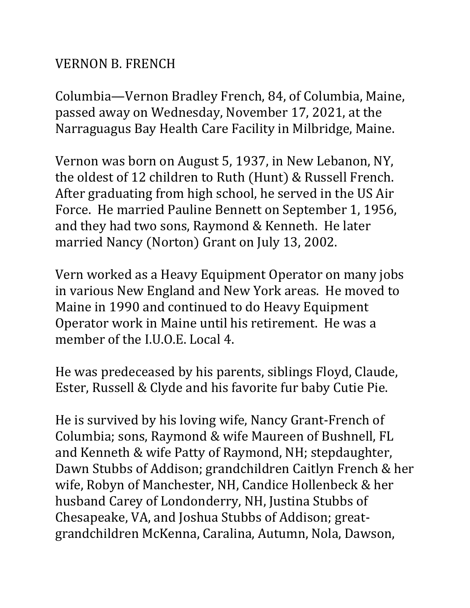## VERNON B. FRENCH

Columbia—Vernon Bradley French, 84, of Columbia, Maine, passed away on Wednesday, November 17, 2021, at the Narraguagus Bay Health Care Facility in Milbridge, Maine.

Vernon was born on August 5, 1937, in New Lebanon, NY, the oldest of 12 children to Ruth (Hunt) & Russell French. After graduating from high school, he served in the US Air Force. He married Pauline Bennett on September 1, 1956, and they had two sons, Raymond & Kenneth. He later married Nancy (Norton) Grant on July 13, 2002.

Vern worked as a Heavy Equipment Operator on many jobs in various New England and New York areas. He moved to Maine in 1990 and continued to do Heavy Equipment Operator work in Maine until his retirement. He was a member of the I.U.O.E. Local 4.

He was predeceased by his parents, siblings Floyd, Claude, Ester, Russell & Clyde and his favorite fur baby Cutie Pie.

He is survived by his loving wife, Nancy Grant-French of Columbia; sons, Raymond & wife Maureen of Bushnell, FL and Kenneth & wife Patty of Raymond, NH; stepdaughter, Dawn Stubbs of Addison; grandchildren Caitlyn French & her wife, Robyn of Manchester, NH, Candice Hollenbeck & her husband Carey of Londonderry, NH, Justina Stubbs of Chesapeake, VA, and Joshua Stubbs of Addison; greatgrandchildren McKenna, Caralina, Autumn, Nola, Dawson,